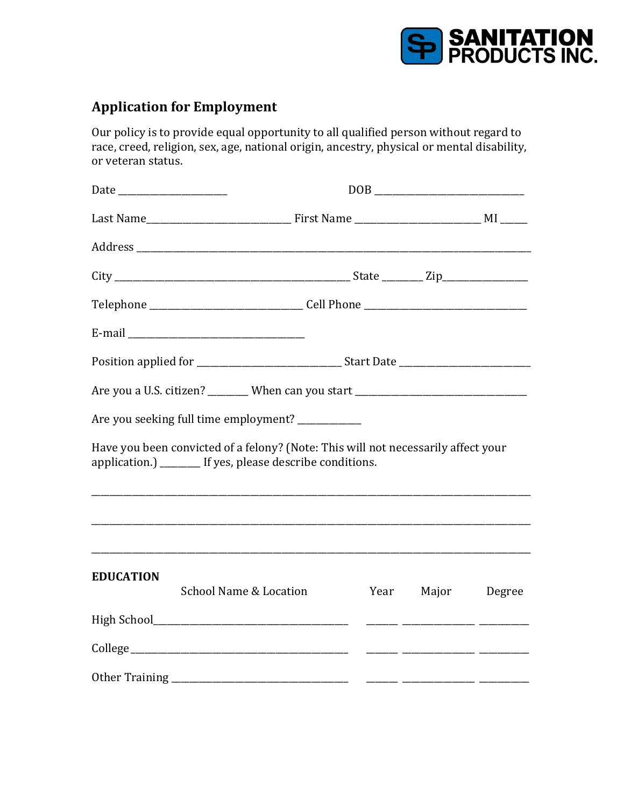

## **Application for Employment**

Our policy is to provide equal opportunity to all qualified person without regard to race, creed, religion, sex, age, national origin, ancestry, physical or mental disability, or veteran status.

|                  | $\overline{\text{DOB}}_{\text{max}}$                                                                                                            |                                                                                  |       |        |  |  |
|------------------|-------------------------------------------------------------------------------------------------------------------------------------------------|----------------------------------------------------------------------------------|-------|--------|--|--|
|                  |                                                                                                                                                 |                                                                                  |       |        |  |  |
|                  |                                                                                                                                                 |                                                                                  |       |        |  |  |
|                  |                                                                                                                                                 |                                                                                  |       |        |  |  |
|                  |                                                                                                                                                 | Telephone ________________________________Cell Phone ___________________________ |       |        |  |  |
|                  |                                                                                                                                                 |                                                                                  |       |        |  |  |
|                  |                                                                                                                                                 |                                                                                  |       |        |  |  |
|                  | Are you a U.S. citizen? ________ When can you start ____________________________                                                                |                                                                                  |       |        |  |  |
|                  | Are you seeking full time employment? __________                                                                                                |                                                                                  |       |        |  |  |
|                  | Have you been convicted of a felony? (Note: This will not necessarily affect your<br>application.) ________ If yes, please describe conditions. |                                                                                  |       |        |  |  |
|                  |                                                                                                                                                 |                                                                                  |       |        |  |  |
| <b>EDUCATION</b> | School Name & Location                                                                                                                          | Year                                                                             | Major | Degree |  |  |
|                  |                                                                                                                                                 |                                                                                  |       |        |  |  |
|                  |                                                                                                                                                 |                                                                                  |       |        |  |  |
|                  |                                                                                                                                                 |                                                                                  |       |        |  |  |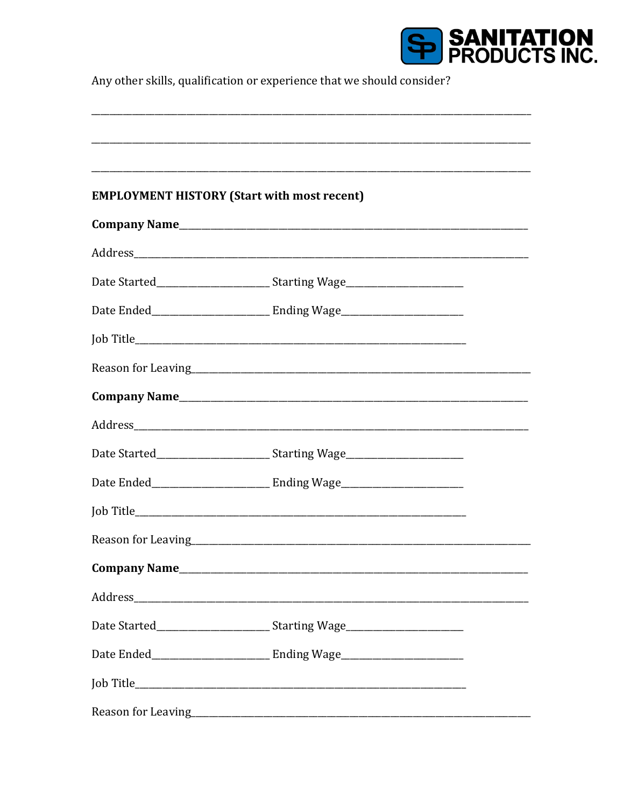

Any other skills, qualification or experience that we should consider?

| <b>EMPLOYMENT HISTORY (Start with most recent)</b> |                                                                                   |  |
|----------------------------------------------------|-----------------------------------------------------------------------------------|--|
|                                                    |                                                                                   |  |
|                                                    |                                                                                   |  |
|                                                    | Date Started_________________________________Starting Wage______________________  |  |
|                                                    |                                                                                   |  |
|                                                    |                                                                                   |  |
|                                                    |                                                                                   |  |
|                                                    |                                                                                   |  |
|                                                    |                                                                                   |  |
|                                                    | Date Started____________________________Starting Wage___________________________  |  |
|                                                    |                                                                                   |  |
|                                                    |                                                                                   |  |
|                                                    |                                                                                   |  |
|                                                    |                                                                                   |  |
|                                                    |                                                                                   |  |
|                                                    | Date Started__________________________________Starting Wage______________________ |  |
|                                                    |                                                                                   |  |
|                                                    |                                                                                   |  |
|                                                    |                                                                                   |  |